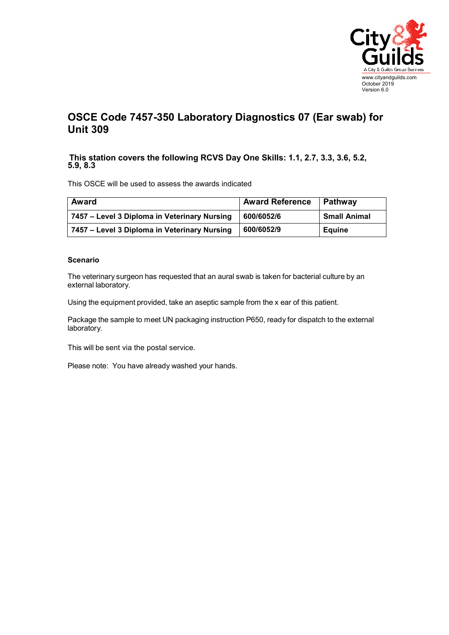

## **OSCE Code 7457-350 Laboratory Diagnostics 07 (Ear swab) for Unit 309**

## **This station covers the following RCVS Day One Skills: 1.1, 2.7, 3.3, 3.6, 5.2, 5.9, 8.3**

This OSCE will be used to assess the awards indicated

| Award                                        | <b>Award Reference</b> | Pathway             |
|----------------------------------------------|------------------------|---------------------|
| 7457 – Level 3 Diploma in Veterinary Nursing | 600/6052/6             | <b>Small Animal</b> |
| 7457 – Level 3 Diploma in Veterinary Nursing | 600/6052/9             | <b>Equine</b>       |

## **Scenario**

The veterinary surgeon has requested that an aural swab is taken for bacterial culture by an external laboratory.

Using the equipment provided, take an aseptic sample from the x ear of this patient.

Package the sample to meet UN packaging instruction P650, ready for dispatch to the external laboratory.

This will be sent via the postal service.

Please note: You have already washed your hands.